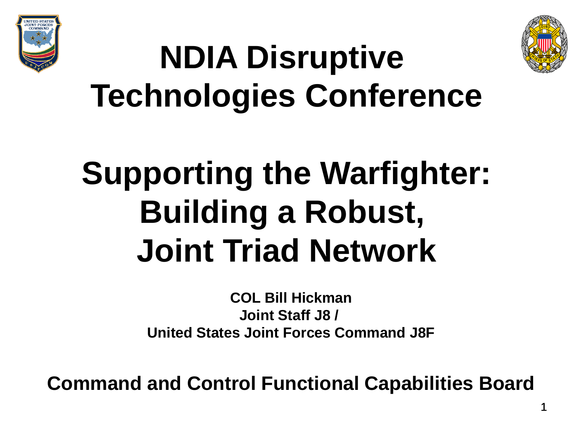



## **NDIA Disruptive Technologies Conference**

## **Supporting the Warfighter: Building a Robust, Joint Triad Network**

**COL Bill Hickman Joint Staff J8 / United States Joint Forces Command J8F**

**Command and Control Functional Capabilities Board**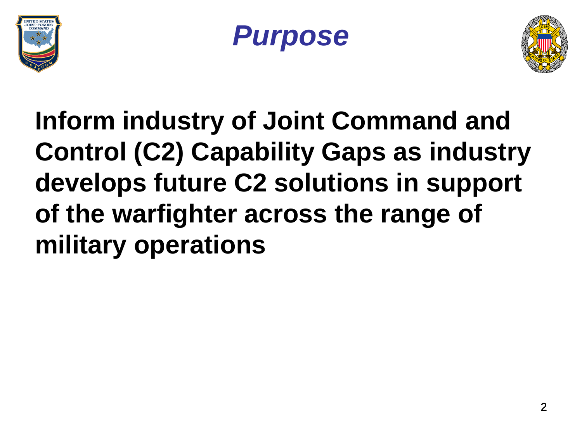





### **Inform industry of Joint Command and Control (C2) Capability Gaps as industry develops future C2 solutions in support of the warfighter across the range of military operations**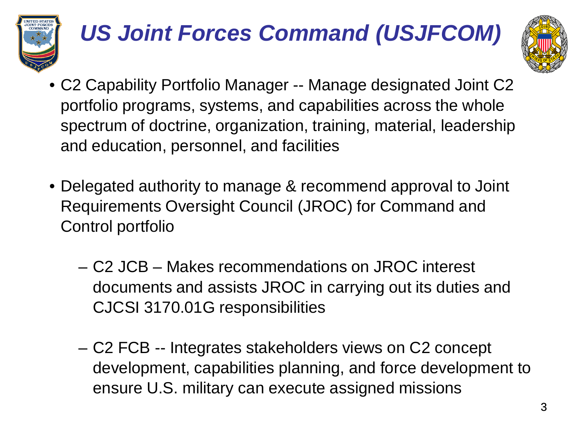

#### *US Joint Forces Command (USJFCOM)*



- C2 Capability Portfolio Manager -- Manage designated Joint C2 portfolio programs, systems, and capabilities across the whole spectrum of doctrine, organization, training, material, leadership and education, personnel, and facilities
- Delegated authority to manage & recommend approval to Joint Requirements Oversight Council (JROC) for Command and Control portfolio
	- C2 JCB Makes recommendations on JROC interest documents and assists JROC in carrying out its duties and CJCSI 3170.01G responsibilities
	- C2 FCB -- Integrates stakeholders views on C2 concept development, capabilities planning, and force development to ensure U.S. military can execute assigned missions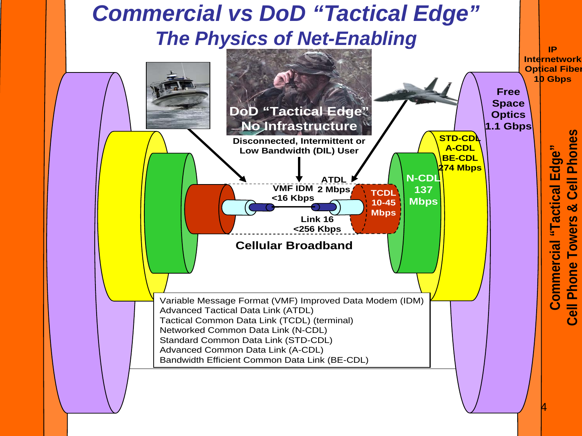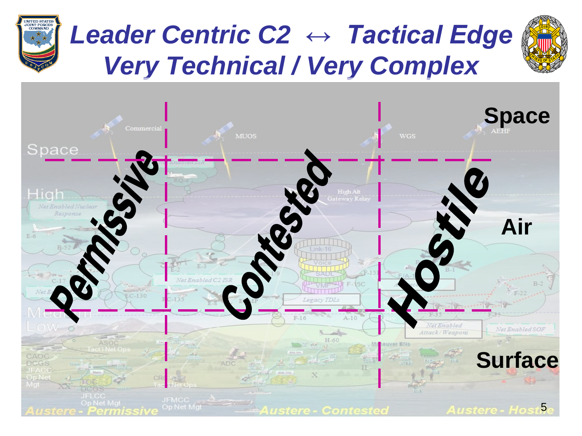

#### *Leader Centric C2 ↔ Tactical Edge Very Technical / Very Complex*



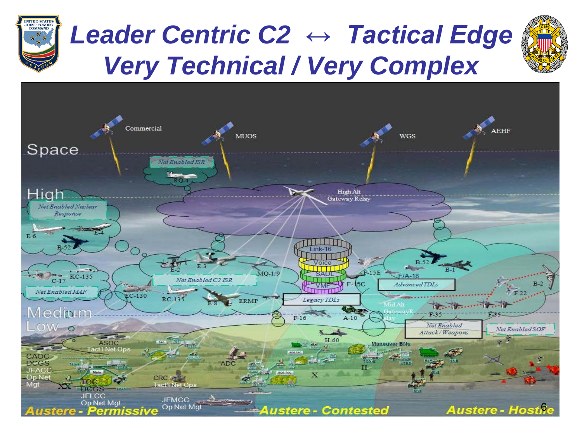

#### *Leader Centric C2 ↔ Tactical Edge Very Technical / Very Complex*



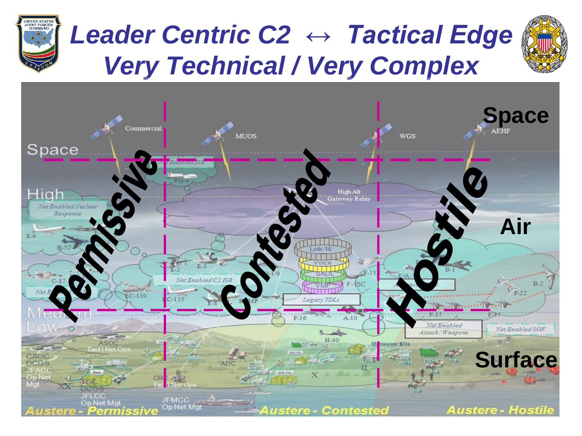

### *Leader Centric C2 ↔ Tactical Edge Very Technical / Very Complex*



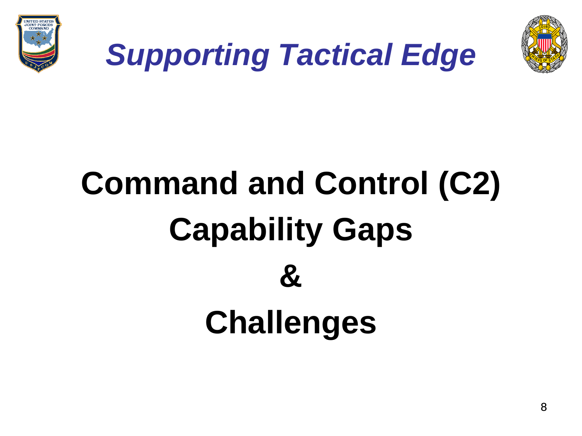



### *Supporting Tactical Edge*

# **Command and Control (C2) Capability Gaps & Challenges**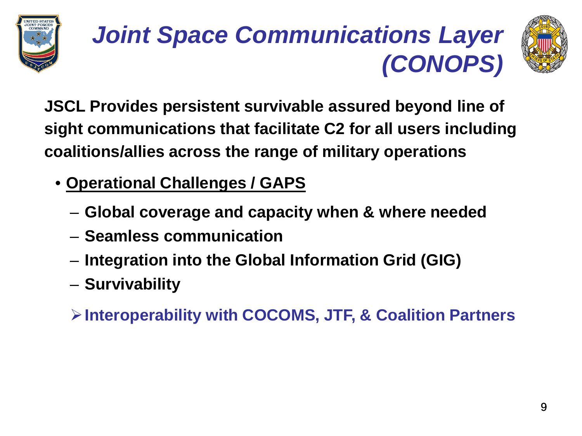





**JSCL Provides persistent survivable assured beyond line of sight communications that facilitate C2 for all users including coalitions/allies across the range of military operations**

- **Operational Challenges / GAPS**
	- **Global coverage and capacity when & where needed**
	- **Seamless communication**
	- **Integration into the Global Information Grid (GIG)**
	- **Survivability**
	- **Interoperability with COCOMS, JTF, & Coalition Partners**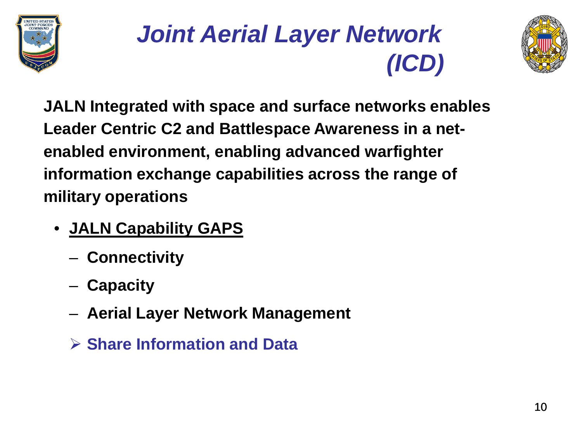





**JALN Integrated with space and surface networks enables Leader Centric C2 and Battlespace Awareness in a netenabled environment, enabling advanced warfighter information exchange capabilities across the range of military operations**

- **JALN Capability GAPS**
	- **Connectivity**
	- **Capacity**
	- **Aerial Layer Network Management**
	- **Share Information and Data**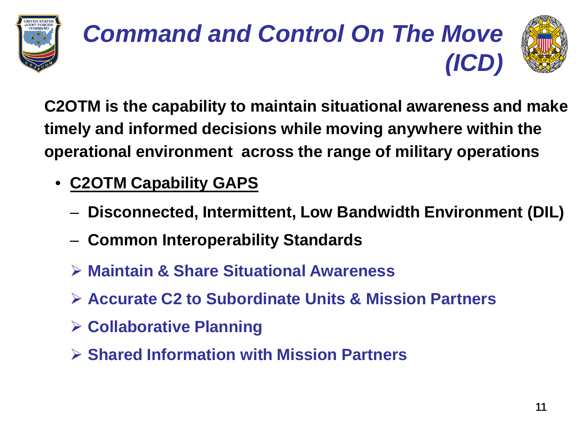

#### *Command and Control On The Move (ICD)*



**C2OTM is the capability to maintain situational awareness and make timely and informed decisions while moving anywhere within the operational environment across the range of military operations**

- **C2OTM Capability GAPS**
	- **Disconnected, Intermittent, Low Bandwidth Environment (DIL)**
	- **Common Interoperability Standards**
	- **Maintain & Share Situational Awareness**
	- **Accurate C2 to Subordinate Units & Mission Partners**
	- **Collaborative Planning**
	- **Shared Information with Mission Partners**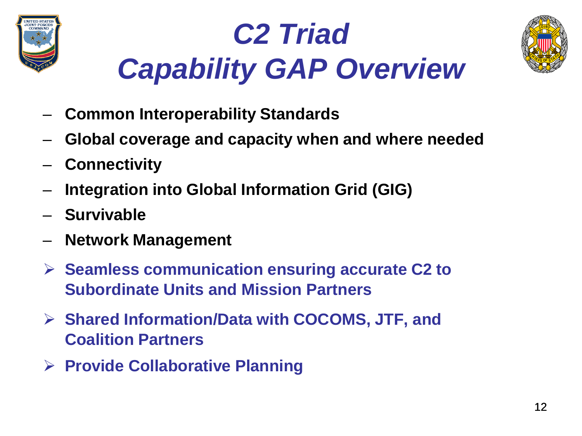





- **Common Interoperability Standards**
- **Global coverage and capacity when and where needed**
- **Connectivity**
- **Integration into Global Information Grid (GIG)**
- **Survivable**
- **Network Management**
- **Seamless communication ensuring accurate C2 to Subordinate Units and Mission Partners**
- **Shared Information/Data with COCOMS, JTF, and Coalition Partners**
- **Provide Collaborative Planning**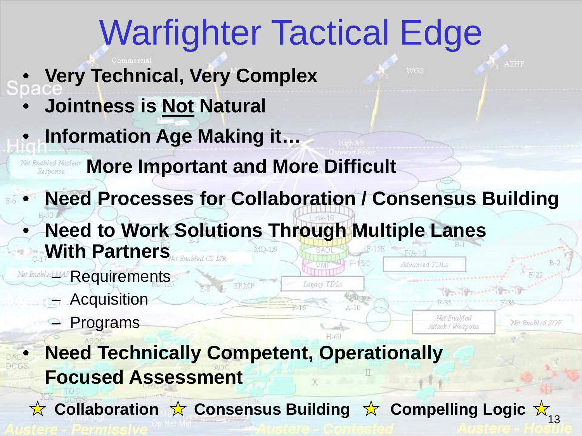## Warfighter Tactical Edge

- **Very Technical, Very Complex**
	- **Jointness is Not Natural**
- **Information Age Making it…**

**More Important and More Difficult** Response

• **Need Processes for Collaboration / Consensus Building Need to Work Solutions Through Multiple Lanes With Partners** Advanced TDLs

Legacy TDLs

 $A-10$ 

Net Enabled

Attack / Weapons

Net Enabled SOF

Net Enabled MAF Requirements

- Acquisition
- **Programs**

• **Need Technically Competent, Operationally Focused Assessment**

ERMP

Collaboration ☆ Consensus Building ☆ Compelling Logic ☆ <sub>13</sub>